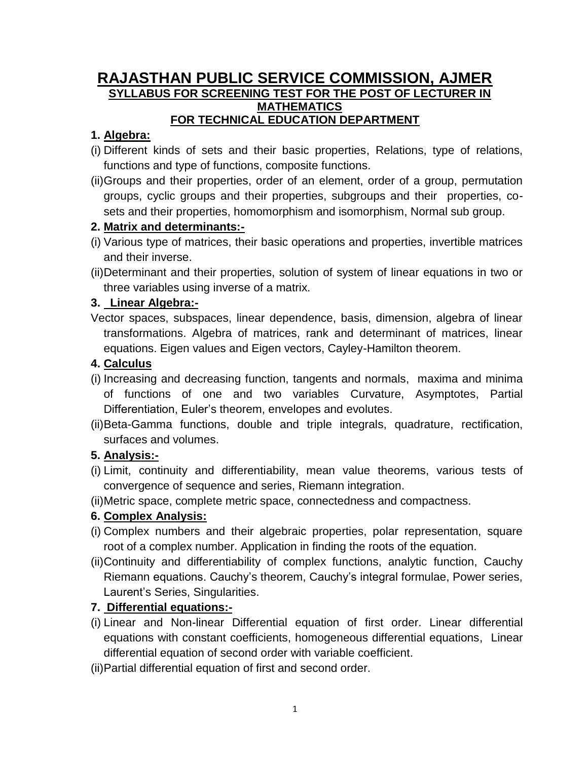### **RAJASTHAN PUBLIC SERVICE COMMISSION, AJMER SYLLABUS FOR SCREENING TEST FOR THE POST OF LECTURER IN MATHEMATICS FOR TECHNICAL EDUCATION DEPARTMENT**

## **1. Algebra:**

- (i) Different kinds of sets and their basic properties, Relations, type of relations, functions and type of functions, composite functions.
- (ii)Groups and their properties, order of an element, order of a group, permutation groups, cyclic groups and their properties, subgroups and their properties, cosets and their properties, homomorphism and isomorphism, Normal sub group.

## **2. Matrix and determinants:-**

- (i) Various type of matrices, their basic operations and properties, invertible matrices and their inverse.
- (ii)Determinant and their properties, solution of system of linear equations in two or three variables using inverse of a matrix.

## **3. Linear Algebra:-**

Vector spaces, subspaces, linear dependence, basis, dimension, algebra of linear transformations. Algebra of matrices, rank and determinant of matrices, linear equations. Eigen values and Eigen vectors, Cayley-Hamilton theorem.

## **4. Calculus**

- (i) Increasing and decreasing function, tangents and normals, maxima and minima of functions of one and two variables Curvature, Asymptotes, Partial Differentiation, Euler's theorem, envelopes and evolutes.
- (ii)Beta-Gamma functions, double and triple integrals, quadrature, rectification, surfaces and volumes.

# **5. Analysis:-**

- (i) Limit, continuity and differentiability, mean value theorems, various tests of convergence of sequence and series, Riemann integration.
- (ii)Metric space, complete metric space, connectedness and compactness.

### **6. Complex Analysis:**

- (i) Complex numbers and their algebraic properties, polar representation, square root of a complex number. Application in finding the roots of the equation.
- (ii)Continuity and differentiability of complex functions, analytic function, Cauchy Riemann equations. Cauchy's theorem, Cauchy's integral formulae, Power series, Laurent's Series, Singularities.

# **7. Differential equations:-**

- (i) Linear and Non-linear Differential equation of first order. Linear differential equations with constant coefficients, homogeneous differential equations, Linear differential equation of second order with variable coefficient.
- (ii)Partial differential equation of first and second order.